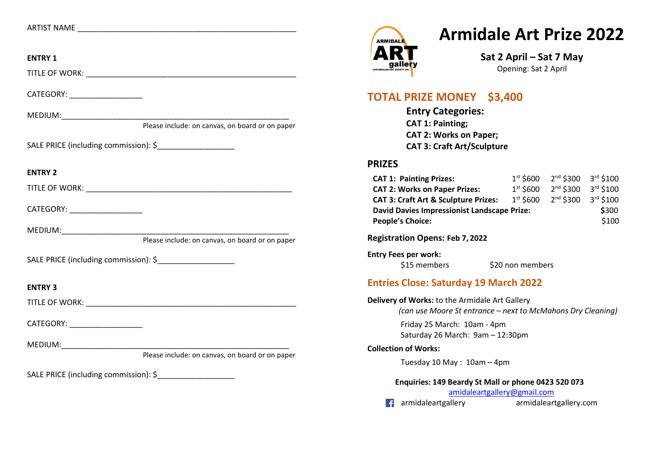| ARTIST NAME |  |
|-------------|--|
|             |  |

## **ENTRY 1**  TITLE OF WORK: **with a set of the set of the set of the set of the set of the set of the set of the set of the set of the set of the set of the set of the set of the set of the set of the set of the set of the set of the s** CATEGORY: MEDIUM:\_\_\_\_\_\_\_\_\_\_\_\_\_\_\_\_\_\_\_\_\_\_\_\_\_\_\_\_\_\_\_\_\_\_\_\_\_\_\_\_\_\_\_\_\_\_\_\_\_\_\_\_\_ Please include: on canvas, on board or on paper SALE PRICE (including commission): \$ **ENTRY 2**  TITLE OF WORK: **with a set of the set of the set of the set of the set of the set of the set of the set of the set of the set of the set of the set of the set of the set of the set of the set of the set of the set of the s** CATEGORY: \_\_\_\_\_\_\_\_\_\_\_\_\_\_\_\_\_  $MEDIUM:$ Please include: on canvas, on board or on paper SALE PRICE (including commission): \$ **ENTRY 3**  TITLE OF WORK: **with a set of the set of the set of the set of the set of the set of the set of the set of the set of the set of the set of the set of the set of the set of the set of the set of the set of the set of the s** CATEGORY: \_\_\_\_\_\_\_\_\_\_\_\_\_\_\_\_\_ MEDIUM:\_\_\_\_\_\_\_\_\_\_\_\_\_\_\_\_\_\_\_\_\_\_\_\_\_\_\_\_\_\_\_\_\_\_\_\_\_\_\_\_\_\_\_\_\_\_\_\_\_\_\_\_\_ Please include: on canvas, on board or on paper SALE PRICE (including commission): \$

# **Armidale Art Prize 2022**



**Sat 2 April – Sat 7 May** Opening: Sat 2 April

## **TOTAL PRIZE MONEY \$3,400**

**Entry Categories: CAT 1: Painting; CAT 2: Works on Paper; CAT 3: Craft Art/Sculpture**

#### **PRIZES**

| <b>CAT 1: Painting Prizes:</b>                     | $1st$ \$600 | $2nd$ \$300 $3rd$ \$100         |                       |
|----------------------------------------------------|-------------|---------------------------------|-----------------------|
| <b>CAT 2: Works on Paper Prizes:</b>               | $1st$ \$600 | 2 <sup>nd</sup> \$300 3rd \$100 |                       |
| <b>CAT 3: Craft Art &amp; Sculpture Prizes:</b>    | $1st$ \$600 | $2^{nd}$ \$300                  | $3^{\text{rd}}$ \$100 |
| <b>David Davies Impressionist Landscape Prize:</b> |             |                                 | \$300                 |
| <b>People's Choice:</b>                            |             |                                 | \$100                 |

**Registration Opens: Feb 7, 2022**

### **Entry Fees per work:**

\$15 members \$20 non members

### **Entries Close: Saturday 19 March 2022**

**Delivery of Works:** to the Armidale Art Gallery

*(can use Moore St entrance – next to McMahons Dry Cleaning)*

Friday 25 March: 10am - 4pm Saturday 26 March: 9am – 12:30pm

#### **Collection of Works:**

Tuesday 10 May : 10am – 4pm

#### **Enquiries: 149 Beardy St Mall or phone 0423 520 073**

[amidaleartgallery@gmail.com](mailto:amidaleartgallery@gmail.com) 

armidaleartgallery armidaleartgallery.com